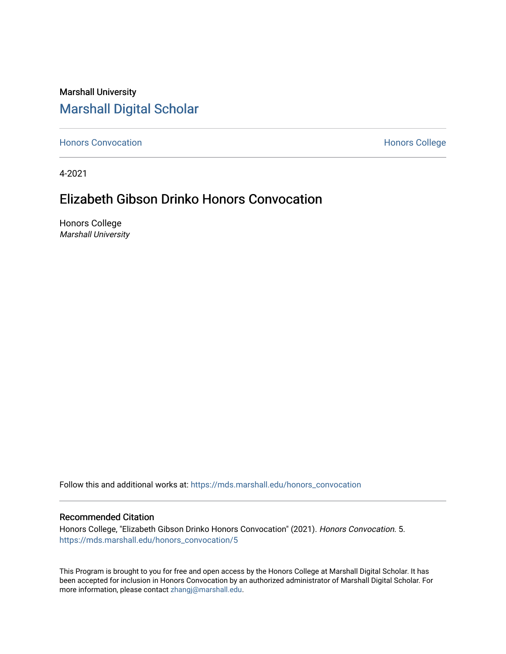# Marshall University [Marshall Digital Scholar](https://mds.marshall.edu/)

[Honors Convocation](https://mds.marshall.edu/honors_convocation) **Honors College** 

4-2021

# Elizabeth Gibson Drinko Honors Convocation

Honors College Marshall University

Follow this and additional works at: [https://mds.marshall.edu/honors\\_convocation](https://mds.marshall.edu/honors_convocation?utm_source=mds.marshall.edu%2Fhonors_convocation%2F5&utm_medium=PDF&utm_campaign=PDFCoverPages)

### Recommended Citation

Honors College, "Elizabeth Gibson Drinko Honors Convocation" (2021). Honors Convocation. 5. [https://mds.marshall.edu/honors\\_convocation/5](https://mds.marshall.edu/honors_convocation/5?utm_source=mds.marshall.edu%2Fhonors_convocation%2F5&utm_medium=PDF&utm_campaign=PDFCoverPages)

This Program is brought to you for free and open access by the Honors College at Marshall Digital Scholar. It has been accepted for inclusion in Honors Convocation by an authorized administrator of Marshall Digital Scholar. For more information, please contact [zhangj@marshall.edu.](mailto:zhangj@marshall.edu)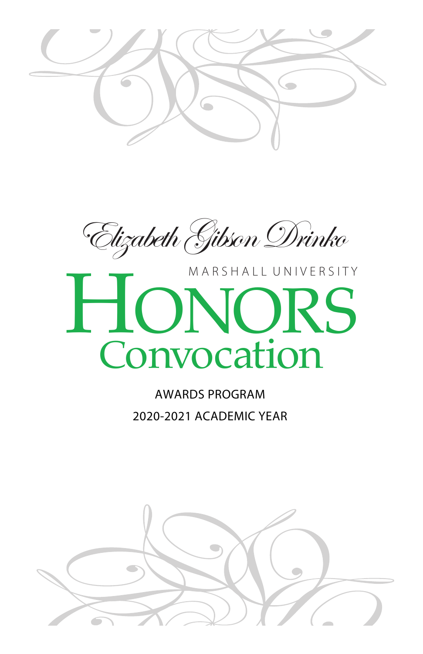

Elizabeth Gibson Drinko



AWARDS PROGRAM 2020-2021 ACADEMIC YEAR

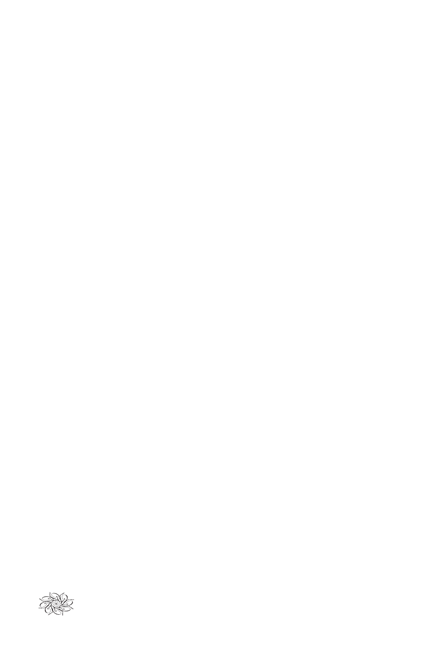![](_page_2_Picture_0.jpeg)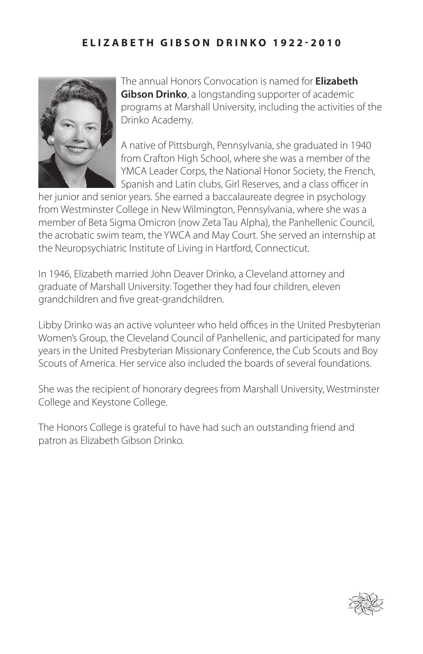## **ELIZABETH GIBSON DRINKO 1922-2010**

![](_page_3_Picture_1.jpeg)

The annual Honors Convocation is named for **Elizabeth Gibson Drinko**, a longstanding supporter of academic programs at Marshall University, including the activities of the Drinko Academy.

A native of Pittsburgh, Pennsylvania, she graduated in 1940 from Crafton High School, where she was a member of the YMCA Leader Corps, the National Honor Society, the French, Spanish and Latin clubs, Girl Reserves, and a class officer in

her junior and senior years. She earned a baccalaureate degree in psychology from Westminster College in New Wilmington, Pennsylvania, where she was a member of Beta Sigma Omicron (now Zeta Tau Alpha), the Panhellenic Council, the acrobatic swim team, the YWCA and May Court. She served an internship at the Neuropsychiatric Institute of Living in Hartford, Connecticut.

In 1946, Elizabeth married John Deaver Drinko, a Cleveland attorney and graduate of Marshall University. Together they had four children, eleven grandchildren and five great-grandchildren.

Libby Drinko was an active volunteer who held offices in the United Presbyterian Women's Group, the Cleveland Council of Panhellenic, and participated for many years in the United Presbyterian Missionary Conference, the Cub Scouts and Boy Scouts of America. Her service also included the boards of several foundations.

She was the recipient of honorary degrees from Marshall University, Westminster College and Keystone College.

The Honors College is grateful to have had such an outstanding friend and patron as Elizabeth Gibson Drinko.

![](_page_3_Picture_9.jpeg)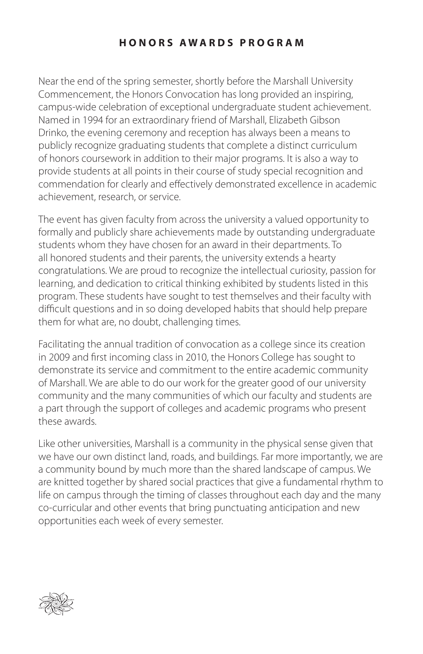## **HONORS AWARDS PROGRAM**

Near the end of the spring semester, shortly before the Marshall University Commencement, the Honors Convocation has long provided an inspiring, campus-wide celebration of exceptional undergraduate student achievement. Named in 1994 for an extraordinary friend of Marshall, Elizabeth Gibson Drinko, the evening ceremony and reception has always been a means to publicly recognize graduating students that complete a distinct curriculum of honors coursework in addition to their major programs. It is also a way to provide students at all points in their course of study special recognition and commendation for clearly and effectively demonstrated excellence in academic achievement, research, or service.

The event has given faculty from across the university a valued opportunity to formally and publicly share achievements made by outstanding undergraduate students whom they have chosen for an award in their departments. To all honored students and their parents, the university extends a hearty congratulations. We are proud to recognize the intellectual curiosity, passion for learning, and dedication to critical thinking exhibited by students listed in this program. These students have sought to test themselves and their faculty with difficult questions and in so doing developed habits that should help prepare them for what are, no doubt, challenging times.

Facilitating the annual tradition of convocation as a college since its creation in 2009 and first incoming class in 2010, the Honors College has sought to demonstrate its service and commitment to the entire academic community of Marshall. We are able to do our work for the greater good of our university community and the many communities of which our faculty and students are a part through the support of colleges and academic programs who present these awards.

Like other universities, Marshall is a community in the physical sense given that we have our own distinct land, roads, and buildings. Far more importantly, we are a community bound by much more than the shared landscape of campus. We are knitted together by shared social practices that give a fundamental rhythm to life on campus through the timing of classes throughout each day and the many co-curricular and other events that bring punctuating anticipation and new opportunities each week of every semester.

![](_page_4_Picture_5.jpeg)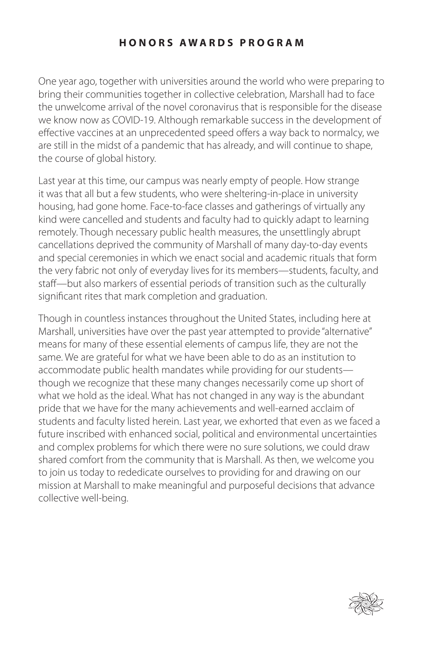## **HONORS AWARDS PROGRAM**

One year ago, together with universities around the world who were preparing to bring their communities together in collective celebration, Marshall had to face the unwelcome arrival of the novel coronavirus that is responsible for the disease we know now as COVID-19. Although remarkable success in the development of effective vaccines at an unprecedented speed offers a way back to normalcy, we are still in the midst of a pandemic that has already, and will continue to shape, the course of global history.

Last year at this time, our campus was nearly empty of people. How strange it was that all but a few students, who were sheltering-in-place in university housing, had gone home. Face-to-face classes and gatherings of virtually any kind were cancelled and students and faculty had to quickly adapt to learning remotely. Though necessary public health measures, the unsettlingly abrupt cancellations deprived the community of Marshall of many day-to-day events and special ceremonies in which we enact social and academic rituals that form the very fabric not only of everyday lives for its members—students, faculty, and staff—but also markers of essential periods of transition such as the culturally significant rites that mark completion and graduation.

Though in countless instances throughout the United States, including here at Marshall, universities have over the past year attempted to provide "alternative" means for many of these essential elements of campus life, they are not the same. We are grateful for what we have been able to do as an institution to accommodate public health mandates while providing for our students though we recognize that these many changes necessarily come up short of what we hold as the ideal. What has not changed in any way is the abundant pride that we have for the many achievements and well-earned acclaim of students and faculty listed herein. Last year, we exhorted that even as we faced a future inscribed with enhanced social, political and environmental uncertainties and complex problems for which there were no sure solutions, we could draw shared comfort from the community that is Marshall. As then, we welcome you to join us today to rededicate ourselves to providing for and drawing on our mission at Marshall to make meaningful and purposeful decisions that advance collective well-being.

![](_page_5_Picture_4.jpeg)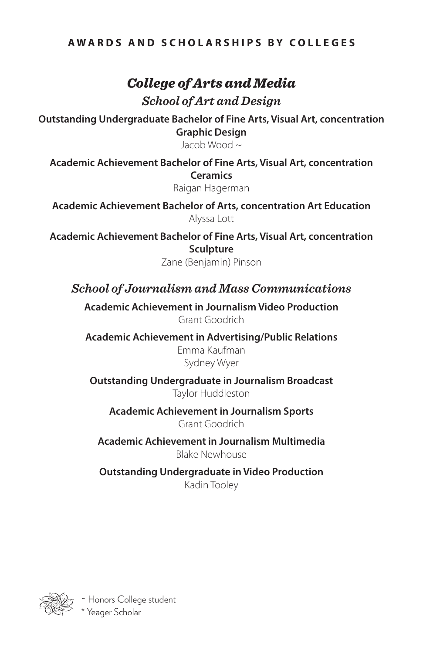## *College of Arts and Media*

*School of Art and Design*

**Outstanding Undergraduate Bachelor of Fine Arts, Visual Art, concentration Graphic Design**

Jacob Wood ~

**Academic Achievement Bachelor of Fine Arts, Visual Art, concentration Ceramics**

Raigan Hagerman

**Academic Achievement Bachelor of Arts, concentration Art Education** Alyssa Lott

**Academic Achievement Bachelor of Fine Arts, Visual Art, concentration Sculpture**

Zane (Benjamin) Pinson

### *School of Journalism and Mass Communications*

**Academic Achievement in Journalism Video Production** Grant Goodrich

**Academic Achievement in Advertising/Public Relations** Emma Kaufman Sydney Wyer

**Outstanding Undergraduate in Journalism Broadcast** Taylor Huddleston

**Academic Achievement in Journalism Sports** Grant Goodrich

**Academic Achievement in Journalism Multimedia** Blake Newhouse

**Outstanding Undergraduate in Video Production** Kadin Tooley

![](_page_6_Picture_17.jpeg)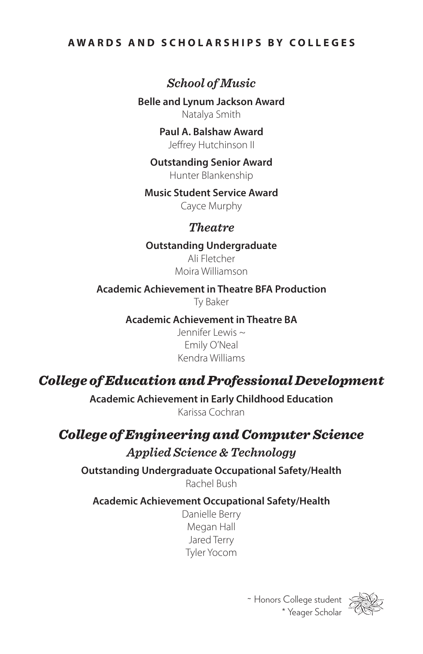## *School of Music*

**Belle and Lynum Jackson Award** Natalya Smith

> **Paul A. Balshaw Award** Jeffrey Hutchinson II

**Outstanding Senior Award** Hunter Blankenship

**Music Student Service Award**

Cayce Murphy

## *Theatre*

**Outstanding Undergraduate**

Ali Fletcher Moira Williamson

**Academic Achievement in Theatre BFA Production** Ty Baker

**Academic Achievement in Theatre BA**

Jennifer Lewis  $\sim$ Emily O'Neal Kendra Williams

## *College of Education and Professional Development*

**Academic Achievement in Early Childhood Education** Karissa Cochran

## *College of Engineering and Computer Science*

## *Applied Science & Technology*

**Outstanding Undergraduate Occupational Safety/Health**

Rachel Bush

## **Academic Achievement Occupational Safety/Health**

Danielle Berry Megan Hall Jared Terry Tyler Yocom

![](_page_7_Picture_22.jpeg)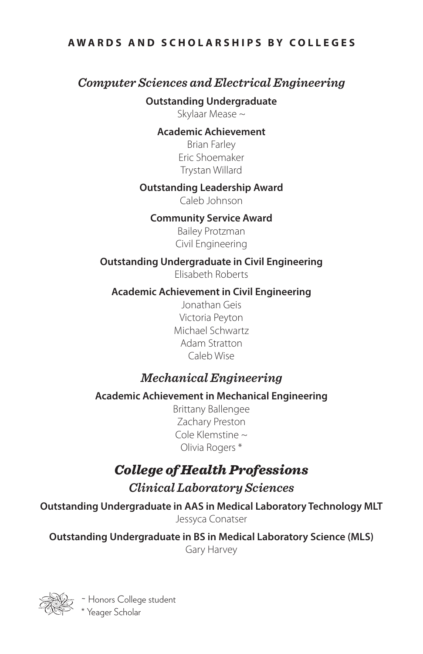## *Computer Sciences and Electrical Engineering*

#### **Outstanding Undergraduate**

Skylaar Mease ~

#### **Academic Achievement**

Brian Farley Eric Shoemaker Trystan Willard

#### **Outstanding Leadership Award**

Caleb Johnson

#### **Community Service Award**

Bailey Protzman Civil Engineering

## **Outstanding Undergraduate in Civil Engineering**

Elisabeth Roberts

### **Academic Achievement in Civil Engineering**

Jonathan Geis Victoria Peyton Michael Schwartz Adam Stratton Caleb Wise

## *Mechanical Engineering*

#### **Academic Achievement in Mechanical Engineering**

Brittany Ballengee Zachary Preston Cole Klemstine  $\sim$ Olivia Rogers \*

## *College of Health Professions*

*Clinical Laboratory Sciences*

**Outstanding Undergraduate in AAS in Medical Laboratory Technology MLT** Jessyca Conatser

**Outstanding Undergraduate in BS in Medical Laboratory Science (MLS)**

Gary Harvey

![](_page_8_Picture_22.jpeg)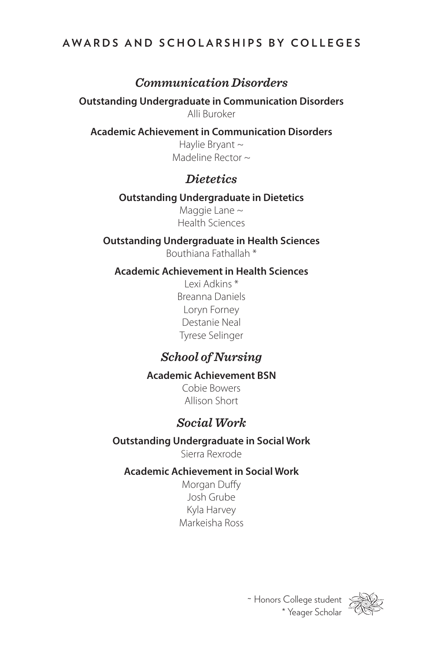## *Communication Disorders*

**Outstanding Undergraduate in Communication Disorders** Alli Buroker

**Academic Achievement in Communication Disorders**

Haylie Bryant ~ Madeline Rector ~

## *Dietetics*

### **Outstanding Undergraduate in Dietetics**

Maggie Lane  $\sim$ Health Sciences

**Outstanding Undergraduate in Health Sciences** Bouthiana Fathallah \*

## **Academic Achievement in Health Sciences**

Lexi Adkins \* Breanna Daniels Loryn Forney Destanie Neal Tyrese Selinger

## *School of Nursing*

## **Academic Achievement BSN**

Cobie Bowers Allison Short

## *Social Work*

## **Outstanding Undergraduate in Social Work**

Sierra Rexrode

## **Academic Achievement in Social Work**

Morgan Duffy Josh Grube Kyla Harvey Markeisha Ross

![](_page_9_Picture_20.jpeg)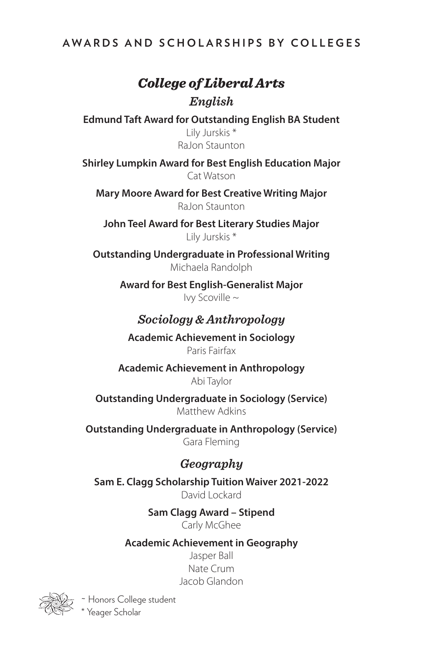# *College of Liberal Arts English*

**Edmund Taft Award for Outstanding English BA Student** Lily Jurskis \* RaJon Staunton

**Shirley Lumpkin Award for Best English Education Major** Cat Watson

**Mary Moore Award for Best Creative Writing Major** RaJon Staunton

**John Teel Award for Best Literary Studies Major** Lily Jurskis \*

**Outstanding Undergraduate in Professional Writing** Michaela Randolph

> **Award for Best English-Generalist Major** Ivy Scoville ~

## *Sociology & Anthropology*

**Academic Achievement in Sociology** Paris Fairfax

**Academic Achievement in Anthropology** Abi Taylor

**Outstanding Undergraduate in Sociology (Service)** Matthew Adkins

**Outstanding Undergraduate in Anthropology (Service)** Gara Fleming

## *Geography*

**Sam E. Clagg Scholarship Tuition Waiver 2021-2022** David Lockard

> **Sam Clagg Award – Stipend** Carly McGhee

**Academic Achievement in Geography**

Jasper Ball Nate Crum Jacob Glandon

![](_page_10_Picture_18.jpeg)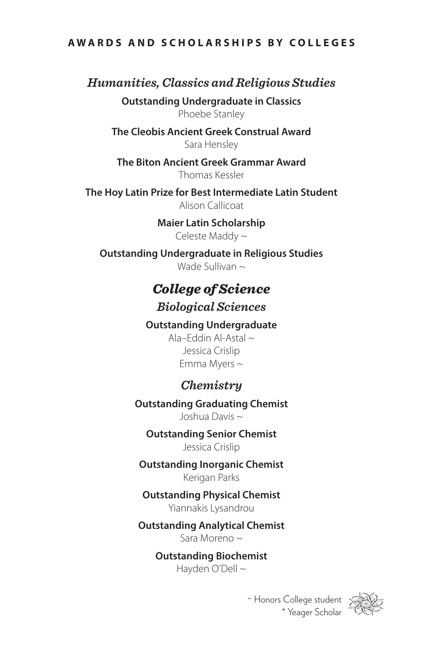*Humanities, Classics and Religious Studies*

**Outstanding Undergraduate in Classics** Phoebe Stanley

**The Cleobis Ancient Greek Construal Award** Sara Hensley

**The Biton Ancient Greek Grammar Award** Thomas Kessler

**The Hoy Latin Prize for Best Intermediate Latin Student** Alison Callicoat

> **Maier Latin Scholarship** Celeste Maddy ~

**Outstanding Undergraduate in Religious Studies** Wade Sullivan ~

## *College of Science Biological Sciences*

**Outstanding Undergraduate** Ala–Eddin Al-Astal  $\sim$ Jessica Crislip Emma Myers ~

## *Chemistry*

**Outstanding Graduating Chemist** Joshua Davis ~

**Outstanding Senior Chemist** Jessica Crislip

**Outstanding Inorganic Chemist** Kerigan Parks

**Outstanding Physical Chemist** Yiannakis Lysandrou

**Outstanding Analytical Chemist** Sara Moreno ~

> **Outstanding Biochemist** Hayden O'Dell ~

![](_page_11_Picture_18.jpeg)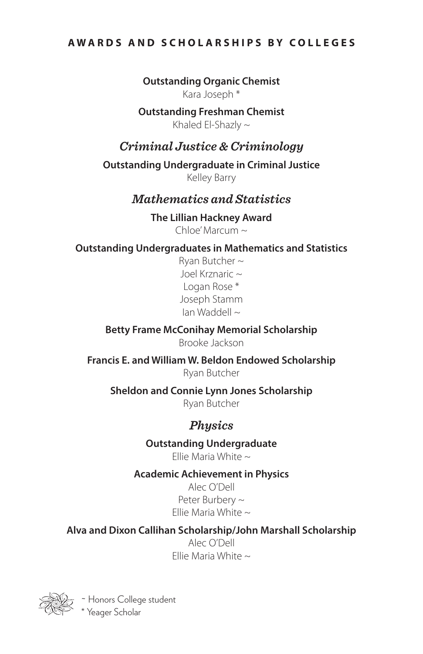**Outstanding Organic Chemist** Kara Joseph \*

**Outstanding Freshman Chemist**

Khaled El-Shazly  $\sim$ 

*Criminal Justice & Criminology*

**Outstanding Undergraduate in Criminal Justice** Kelley Barry

## *Mathematics and Statistics*

**The Lillian Hackney Award**

Chloe' Marcum ~

#### **Outstanding Undergraduates in Mathematics and Statistics**

Ryan Butcher ~ Joel Krznaric ~ Logan Rose \* Joseph Stamm Ian Waddell ~

**Betty Frame McConihay Memorial Scholarship**

Brooke Jackson

**Francis E. and William W. Beldon Endowed Scholarship** Ryan Butcher

**Sheldon and Connie Lynn Jones Scholarship**

Ryan Butcher

## *Physics*

**Outstanding Undergraduate**

Ellie Maria White  $\sim$ 

**Academic Achievement in Physics**

Alec O'Dell Peter Burbery ~ Ellie Maria White ~

## **Alva and Dixon Callihan Scholarship/John Marshall Scholarship**

Alec O'Dell Ellie Maria White  $\sim$ 

![](_page_12_Picture_23.jpeg)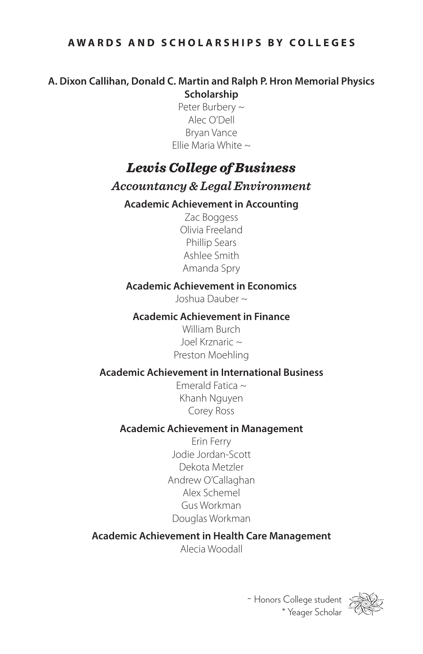### **A. Dixon Callihan, Donald C. Martin and Ralph P. Hron Memorial Physics Scholarship**

Peter Burbery ~ Alec O'Dell Bryan Vance Ellie Maria White  $\sim$ 

## *Lewis College of Business*

### *Accountancy & Legal Environment*

#### **Academic Achievement in Accounting**

Zac Boggess Olivia Freeland Phillip Sears Ashlee Smith Amanda Spry

## **Academic Achievement in Economics**

Joshua Dauber ~

#### **Academic Achievement in Finance**

William Burch Joel Krznaric ~ Preston Moehling

## **Academic Achievement in International Business**

Emerald Fatica ~ Khanh Nguyen Corey Ross

### **Academic Achievement in Management**

Erin Ferry Jodie Jordan-Scott Dekota Metzler Andrew O'Callaghan Alex Schemel Gus Workman Douglas Workman

# **Academic Achievement in Health Care Management**

Alecia Woodall

![](_page_13_Picture_18.jpeg)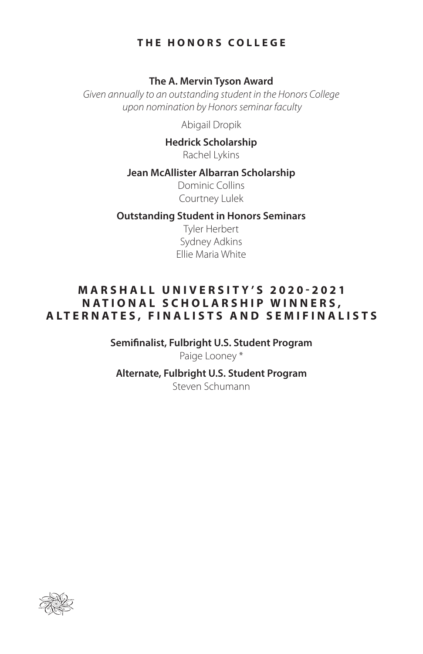## **THE HONORS COLLEGE**

#### **The A. Mervin Tyson Award**

*Given annually to an outstanding student in the Honors College upon nomination by Honors seminar faculty*

Abigail Dropik

**Hedrick Scholarship** Rachel Lykins

#### **Jean McAllister Albarran Scholarship**

Dominic Collins Courtney Lulek

## **Outstanding Student in Honors Seminars**

Tyler Herbert Sydney Adkins Ellie Maria White

## **M A R S H A L L U N I V E R S I T Y ' S 2 0 2 0 - 2 0 2 1 NATIONAL SCHOLARSHIP WINNERS, ALTERNATES, FINALISTS AND SEMIFINALISTS**

**Semifinalist, Fulbright U.S. Student Program** Paige Looney \*

**Alternate, Fulbright U.S. Student Program**

Steven Schumann

![](_page_14_Picture_13.jpeg)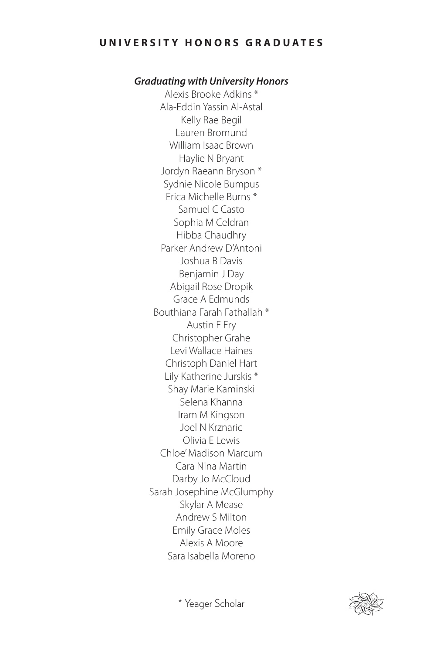### **UNIVERSITY HONORS GRADUATES**

#### *Graduating with University Honors*

Alexis Brooke Adkins \* Ala-Eddin Yassin Al-Astal Kelly Rae Begil Lauren Bromund William Isaac Brown Haylie N Bryant Jordyn Raeann Bryson \* Sydnie Nicole Bumpus Erica Michelle Burns \* Samuel C Casto Sophia M Celdran Hibba Chaudhry Parker Andrew D'Antoni Joshua B Davis Benjamin J Day Abigail Rose Dropik Grace A Edmunds Bouthiana Farah Fathallah \* Austin F Fry Christopher Grahe Levi Wallace Haines Christoph Daniel Hart Lily Katherine Jurskis \* Shay Marie Kaminski Selena Khanna Iram M Kingson Joel N Krznaric Olivia E Lewis Chloe' Madison Marcum Cara Nina Martin Darby Jo McCloud Sarah Josephine McGlumphy Skylar A Mease Andrew S Milton Emily Grace Moles Alexis A Moore Sara Isabella Moreno

![](_page_15_Picture_3.jpeg)

\* Yeager Scholar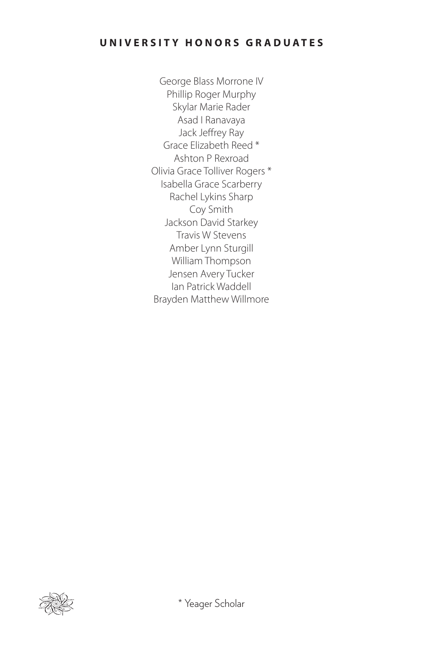### **UNIVERSITY HONORS GRADUATES**

George Blass Morrone IV Phillip Roger Murphy Skylar Marie Rader Asad I Ranavaya Jack Jeffrey Ray Grace Elizabeth Reed \* Ashton P Rexroad Olivia Grace Tolliver Rogers \* Isabella Grace Scarberry Rachel Lykins Sharp Coy Smith Jackson David Starkey Travis W Stevens Amber Lynn Sturgill William Thompson Jensen Avery Tucker Ian Patrick Waddell Brayden Matthew Willmore

![](_page_16_Picture_2.jpeg)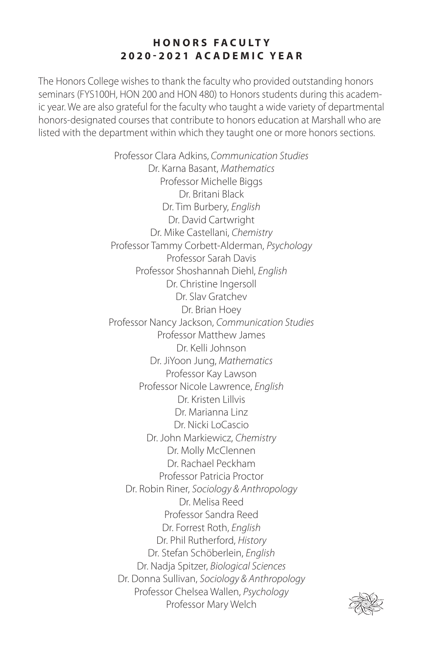## **H O N O R S FAC U LT Y 2020-2021 ACADEMIC YEAR**

The Honors College wishes to thank the faculty who provided outstanding honors seminars (FYS100H, HON 200 and HON 480) to Honors students during this academic year. We are also grateful for the faculty who taught a wide variety of departmental honors-designated courses that contribute to honors education at Marshall who are listed with the department within which they taught one or more honors sections.

> Professor Clara Adkins, *Communication Studies* Dr. Karna Basant, *Mathematics* Professor Michelle Biggs Dr. Britani Black Dr. Tim Burbery, *English* Dr. David Cartwright Dr. Mike Castellani, *Chemistry* Professor Tammy Corbett-Alderman, *Psychology* Professor Sarah Davis Professor Shoshannah Diehl, *English* Dr. Christine Ingersoll Dr. Slav Gratchev Dr. Brian Hoey Professor Nancy Jackson, *Communication Studies* Professor Matthew James Dr. Kelli Johnson Dr. JiYoon Jung, *Mathematics* Professor Kay Lawson Professor Nicole Lawrence, *English* Dr. Kristen Lillvis Dr. Marianna Linz Dr. Nicki LoCascio Dr. John Markiewicz, *Chemistry* Dr. Molly McClennen Dr. Rachael Peckham Professor Patricia Proctor Dr. Robin Riner, *Sociology & Anthropology* Dr. Melisa Reed Professor Sandra Reed Dr. Forrest Roth, *English* Dr. Phil Rutherford, *History* Dr. Stefan Schöberlein, *English* Dr. Nadja Spitzer, *Biological Sciences* Dr. Donna Sullivan, *Sociology & Anthropology* Professor Chelsea Wallen, *Psychology* Professor Mary Welch

![](_page_17_Picture_3.jpeg)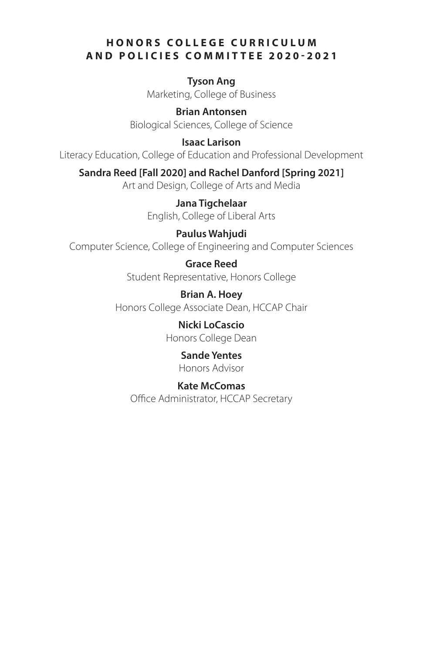### **H O N O R S C O L L E G E C U R R I C U L U M AND POLICIES COMMITTEE 2020-2021**

## **Tyson Ang**

Marketing, College of Business

**Brian Antonsen** Biological Sciences, College of Science

### **Isaac Larison**

Literacy Education, College of Education and Professional Development

## **Sandra Reed [Fall 2020] and Rachel Danford [Spring 2021]**

Art and Design, College of Arts and Media

**Jana Tigchelaar** English, College of Liberal Arts

## **Paulus Wahjudi**

Computer Science, College of Engineering and Computer Sciences

### **Grace Reed**

Student Representative, Honors College

**Brian A. Hoey** Honors College Associate Dean, HCCAP Chair

> **Nicki LoCascio** Honors College Dean

> > **Sande Yentes** Honors Advisor

## **Kate McComas**

Office Administrator, HCCAP Secretary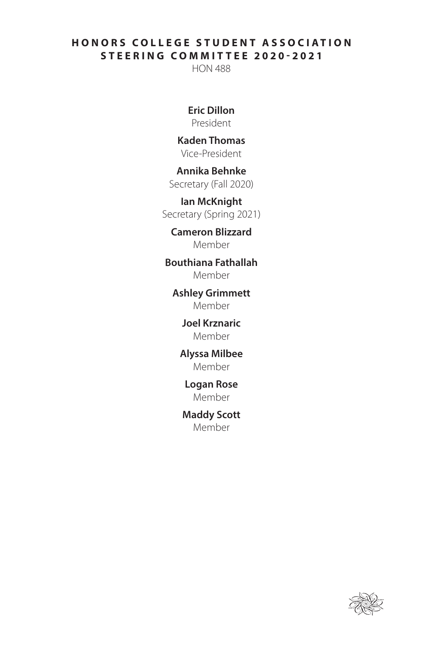#### **HONORS COLLEGE STUDENT ASSOCIATION STEERING COMMITTEE 2020-2021**

HON 488

**Eric Dillon** President

**Kaden Thomas** Vice-President

**Annika Behnke**  Secretary (Fall 2020)

**Ian McKnight** Secretary (Spring 2021)

> **Cameron Blizzard**  Member

**Bouthiana Fathallah**  Member

**Ashley Grimmett**  Member

> **Joel Krznaric**  Member

**Alyssa Milbee**  Member

**Logan Rose**  Member

**Maddy Scott**  Member

![](_page_19_Picture_13.jpeg)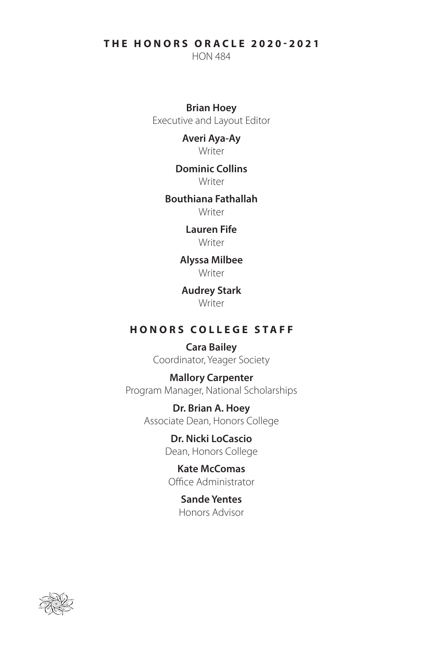### **T H E H O N O R S O R A C L E 2 0 2 0 - 2 0 2 1**

HON 484

#### **Brian Hoey**

Executive and Layout Editor

#### **Averi Aya-Ay** Writer

### **Dominic Collins**

**Writer** 

#### **Bouthiana Fathallah**

Writer

#### **Lauren Fife**

Writer

#### **Alyssa Milbee** Writer

### **Audrey Stark**

Writer

#### **HONORS COLLEGE STAFF**

**Cara Bailey** Coordinator, Yeager Society

**Mallory Carpenter** Program Manager, National Scholarships

> **Dr. Brian A. Hoey** Associate Dean, Honors College

> > **Dr. Nicki LoCascio** Dean, Honors College

**Kate McComas** Office Administrator

> **Sande Yentes** Honors Advisor

![](_page_20_Picture_22.jpeg)